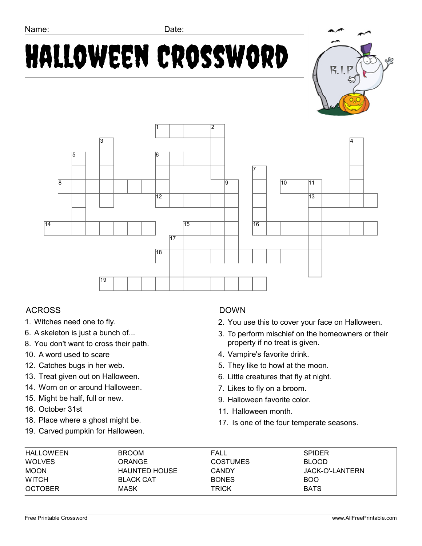# Halloween Crossword





## ACROSS

- 1. Witches need one to fly.
- 6. A skeleton is just a bunch of...
- 8. You don't want to cross their path.
- 10. A word used to scare
- 12. Catches bugs in her web.
- 13. Treat given out on Halloween.
- 14. Worn on or around Halloween.
- 15. Might be half, full or new.
- 16. October 31st
- 18. Place where a ghost might be.
- 19. Carved pumpkin for Halloween.

## DOWN

- 2. You use this to cover your face on Halloween.
- 3. To perform mischief on the homeowners or their property if no treat is given.
- 4. Vampire's favorite drink.
- 5. They like to howl at the moon.
- 6. Little creatures that fly at night.
- 7. Likes to fly on a broom.
- 9. Halloween favorite color.
- 11. Halloween month.
- 17. Is one of the four temperate seasons.

| <b>HALLOWEEN</b> | <b>BROOM</b>         | FALL            | <b>SPIDER</b>   |  |
|------------------|----------------------|-----------------|-----------------|--|
| <b>WOLVES</b>    | <b>ORANGE</b>        | <b>COSTUMES</b> | <b>BLOOD</b>    |  |
| <b>MOON</b>      | <b>HAUNTED HOUSE</b> | <b>CANDY</b>    | JACK-O'-LANTERN |  |
| <b>WITCH</b>     | <b>BLACK CAT</b>     | <b>BONES</b>    | <b>BOO</b>      |  |
| <b>OCTOBER</b>   | <b>MASK</b>          | TRICK           | <b>BATS</b>     |  |
|                  |                      |                 |                 |  |